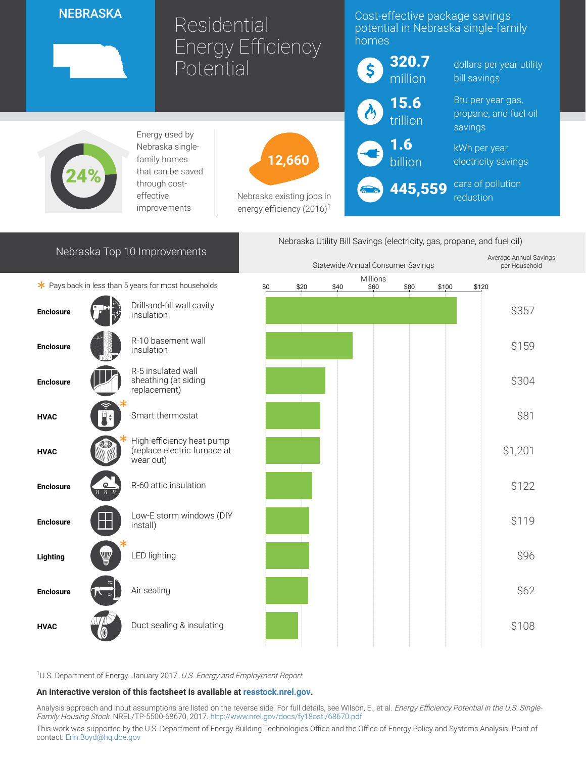## **NEBRASKA**

# Residential Energy Efficiency **Potential**

# Cost-effective package savings potential in Nebraska single-family homes



Energy used by Nebraska singlefamily homes that can be saved through costeffective improvements



Nebraska existing jobs in energy efficiency  $(2016)^1$ 



Nebraska Utility Bill Savings (electricity, gas, propane, and fuel oil)

dollars per year utility bill savings

Btu per year gas, propane, and fuel oil savings

kWh per year electricity savings

cars of pollution reduction

# Nebraska Top 10 Improvements



|                  |                                       |                                                                        | Statewide Annual Consumer Savings |      |      |                  |      |       |       | Average Annual Savings<br>per Household |
|------------------|---------------------------------------|------------------------------------------------------------------------|-----------------------------------|------|------|------------------|------|-------|-------|-----------------------------------------|
|                  |                                       | * Pays back in less than 5 years for most households                   | \$0                               | \$20 | \$40 | Millions<br>\$60 | \$80 | \$100 | \$120 |                                         |
| <b>Enclosure</b> |                                       | Drill-and-fill wall cavity<br>insulation                               |                                   |      |      |                  |      |       |       | \$357                                   |
| <b>Enclosure</b> |                                       | R-10 basement wall<br>insulation                                       |                                   |      |      |                  |      |       |       | \$159                                   |
| <b>Enclosure</b> |                                       | R-5 insulated wall<br>sheathing (at siding<br>replacement)             |                                   |      |      |                  |      |       |       | \$304                                   |
| <b>HVAC</b>      |                                       | Smart thermostat                                                       |                                   |      |      |                  |      |       |       | \$81                                    |
| <b>HVAC</b>      |                                       | High-efficiency heat pump<br>(replace electric furnace at<br>wear out) |                                   |      |      |                  |      |       |       | \$1,201                                 |
| <b>Enclosure</b> | $\bullet$<br>$\overline{\mathcal{U}}$ | R-60 attic insulation                                                  |                                   |      |      |                  |      |       |       | \$122                                   |
| <b>Enclosure</b> |                                       | Low-E storm windows (DIY<br>install)                                   |                                   |      |      |                  |      |       |       | \$119                                   |
| Lighting         | W                                     | <b>LED lighting</b>                                                    |                                   |      |      |                  |      |       |       | \$96                                    |
| <b>Enclosure</b> |                                       | Air sealing                                                            |                                   |      |      |                  |      |       |       | \$62                                    |
| <b>HVAC</b>      |                                       | Duct sealing & insulating                                              |                                   |      |      |                  |      |       |       | \$108                                   |

<sup>1</sup>U.S. Department of Energy. January 2017. U.S. Energy and Employment Report

#### An interactive version of this factsheet is available at [resstock.nrel.gov.](https://resstock.nrel.gov/)

Analysis approach and input assumptions are listed on the reverse side. For full details, see Wilson, E., et al. Energy Efficiency Potential in the U.S. SingleFamily Housing Stock. NREL/TP-5500-68670, 2017. <http://www.nrel.gov/docs/fy18osti/68670.pdf>

This work was supported by the U.S. Department of Energy Building Technologies Office and the Office of Energy Policy and Systems Analysis. Point of contact: [Erin.Boyd@hq.doe.gov](mailto:Erin.Boyd@hq.doe.gov)